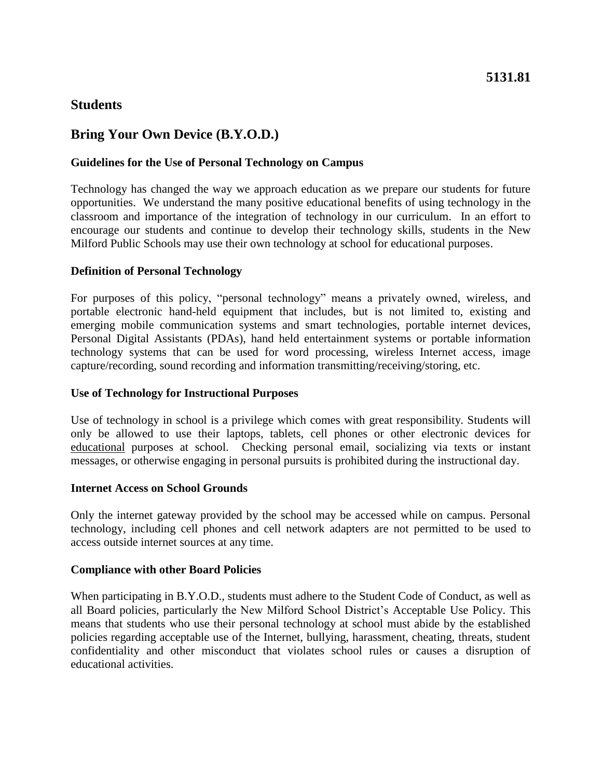## **Students**

# **Bring Your Own Device (B.Y.O.D.)**

## **Guidelines for the Use of Personal Technology on Campus**

Technology has changed the way we approach education as we prepare our students for future opportunities. We understand the many positive educational benefits of using technology in the classroom and importance of the integration of technology in our curriculum. In an effort to encourage our students and continue to develop their technology skills, students in the New Milford Public Schools may use their own technology at school for educational purposes.

## **Definition of Personal Technology**

For purposes of this policy, "personal technology" means a privately owned, wireless, and portable electronic hand-held equipment that includes, but is not limited to, existing and emerging mobile communication systems and smart technologies, portable internet devices, Personal Digital Assistants (PDAs), hand held entertainment systems or portable information technology systems that can be used for word processing, wireless Internet access, image capture/recording, sound recording and information transmitting/receiving/storing, etc.

### **Use of Technology for Instructional Purposes**

Use of technology in school is a privilege which comes with great responsibility. Students will only be allowed to use their laptops, tablets, cell phones or other electronic devices for educational purposes at school. Checking personal email, socializing via texts or instant messages, or otherwise engaging in personal pursuits is prohibited during the instructional day.

#### **Internet Access on School Grounds**

Only the internet gateway provided by the school may be accessed while on campus. Personal technology, including cell phones and cell network adapters are not permitted to be used to access outside internet sources at any time.

#### **Compliance with other Board Policies**

When participating in B.Y.O.D., students must adhere to the Student Code of Conduct, as well as all Board policies, particularly the New Milford School District's Acceptable Use Policy. This means that students who use their personal technology at school must abide by the established policies regarding acceptable use of the Internet, bullying, harassment, cheating, threats, student confidentiality and other misconduct that violates school rules or causes a disruption of educational activities.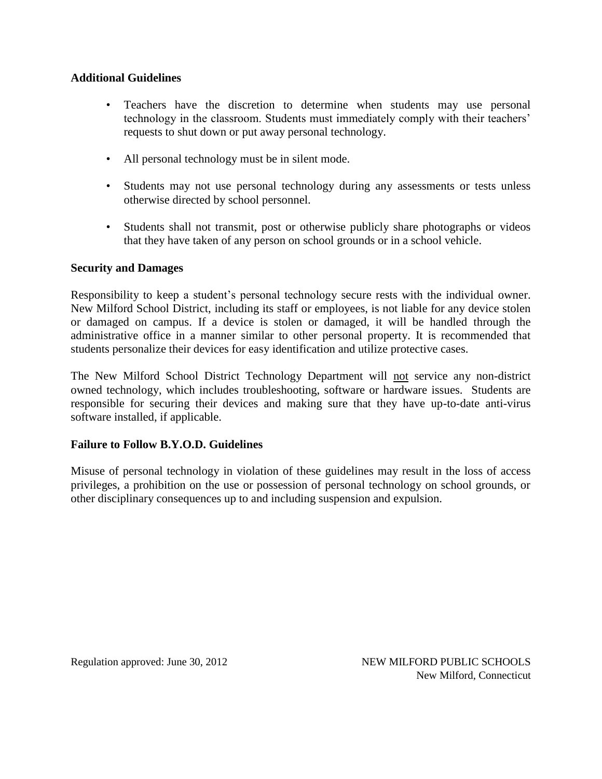#### **Additional Guidelines**

- Teachers have the discretion to determine when students may use personal technology in the classroom. Students must immediately comply with their teachers' requests to shut down or put away personal technology.
- All personal technology must be in silent mode.
- Students may not use personal technology during any assessments or tests unless otherwise directed by school personnel.
- Students shall not transmit, post or otherwise publicly share photographs or videos that they have taken of any person on school grounds or in a school vehicle.

#### **Security and Damages**

Responsibility to keep a student's personal technology secure rests with the individual owner. New Milford School District, including its staff or employees, is not liable for any device stolen or damaged on campus. If a device is stolen or damaged, it will be handled through the administrative office in a manner similar to other personal property. It is recommended that students personalize their devices for easy identification and utilize protective cases.

The New Milford School District Technology Department will not service any non-district owned technology, which includes troubleshooting, software or hardware issues. Students are responsible for securing their devices and making sure that they have up-to-date anti-virus software installed, if applicable.

## **Failure to Follow B.Y.O.D. Guidelines**

Misuse of personal technology in violation of these guidelines may result in the loss of access privileges, a prohibition on the use or possession of personal technology on school grounds, or other disciplinary consequences up to and including suspension and expulsion.

Regulation approved: June 30, 2012 NEW MILFORD PUBLIC SCHOOLS New Milford, Connecticut